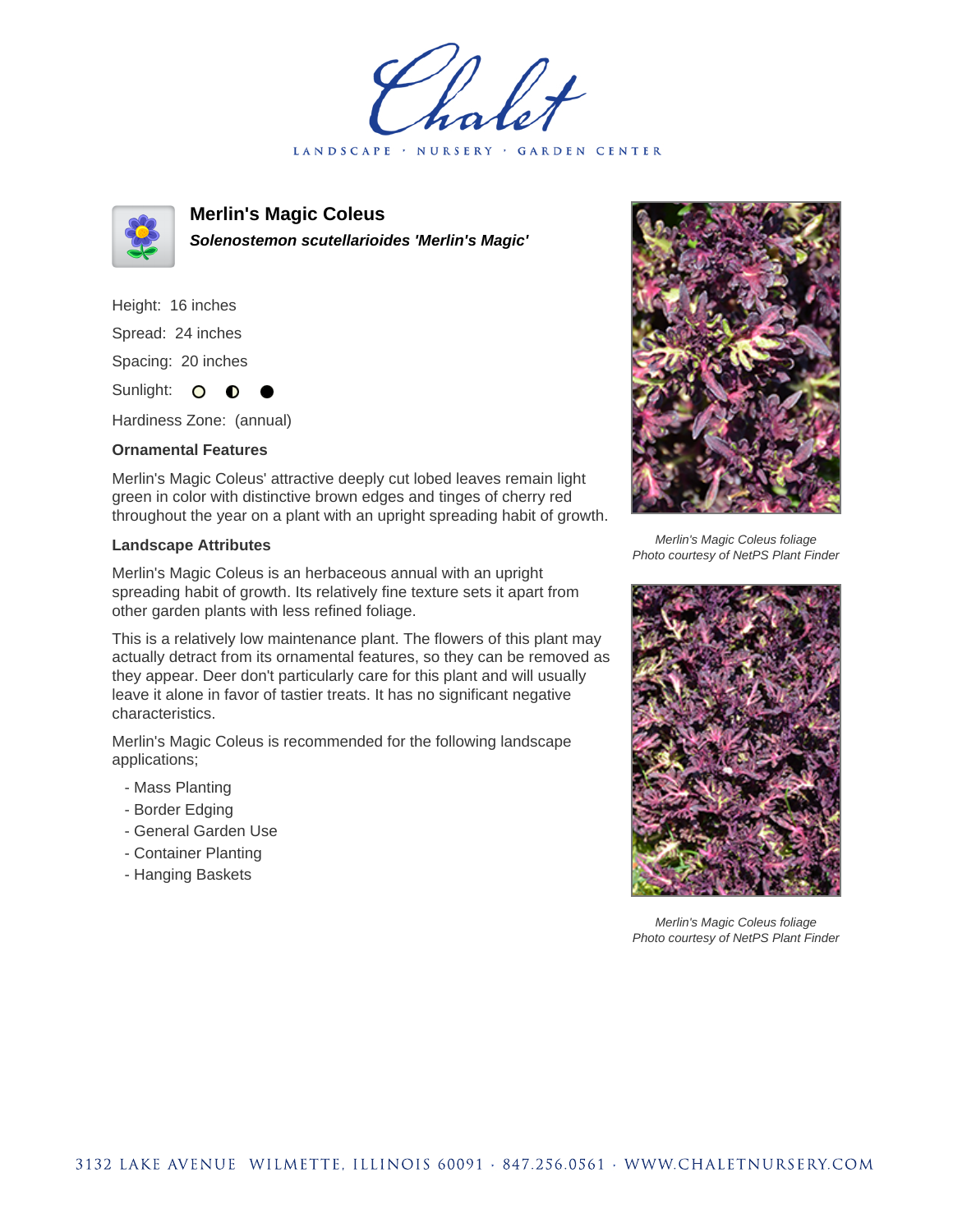holet LANDSCAPE · NURSERY · GARDEN CENTER



**Merlin's Magic Coleus Solenostemon scutellarioides 'Merlin's Magic'**

Height: 16 inches Spread: 24 inches Spacing: 20 inches Sunlight: O **O** 

Hardiness Zone: (annual)

## **Ornamental Features**

Merlin's Magic Coleus' attractive deeply cut lobed leaves remain light green in color with distinctive brown edges and tinges of cherry red throughout the year on a plant with an upright spreading habit of growth.

## **Landscape Attributes**

Merlin's Magic Coleus is an herbaceous annual with an upright spreading habit of growth. Its relatively fine texture sets it apart from other garden plants with less refined foliage.

This is a relatively low maintenance plant. The flowers of this plant may actually detract from its ornamental features, so they can be removed as they appear. Deer don't particularly care for this plant and will usually leave it alone in favor of tastier treats. It has no significant negative characteristics.

Merlin's Magic Coleus is recommended for the following landscape applications;

- Mass Planting
- Border Edging
- General Garden Use
- Container Planting
- Hanging Baskets



Merlin's Magic Coleus foliage Photo courtesy of NetPS Plant Finder



Merlin's Magic Coleus foliage Photo courtesy of NetPS Plant Finder